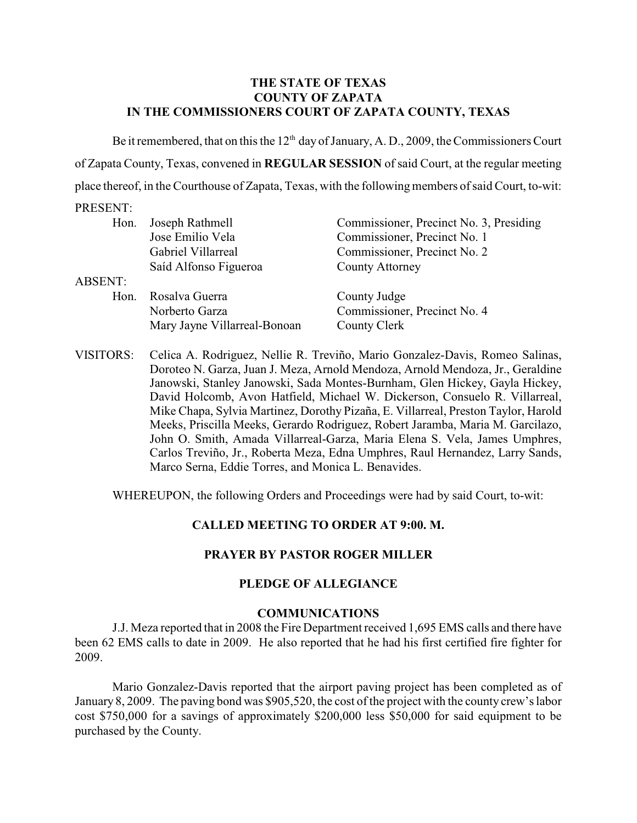## **THE STATE OF TEXAS COUNTY OF ZAPATA IN THE COMMISSIONERS COURT OF ZAPATA COUNTY, TEXAS**

Be it remembered, that on this the  $12<sup>th</sup>$  day of January, A. D., 2009, the Commissioners Court of Zapata County, Texas, convened in **REGULAR SESSION** of said Court, at the regular meeting place thereof, in the Courthouse of Zapata, Texas, with the following members of said Court, to-wit:

## PRESENT:

| Hon.    | Joseph Rathmell              | Commissioner, Precinct No. 3, Presiding |
|---------|------------------------------|-----------------------------------------|
|         | Jose Emilio Vela             | Commissioner, Precinct No. 1            |
|         | Gabriel Villarreal           | Commissioner, Precinct No. 2            |
|         | Saíd Alfonso Figueroa        | <b>County Attorney</b>                  |
| ABSENT: |                              |                                         |
| Hon.    | Rosalva Guerra               | County Judge                            |
|         | Norberto Garza               | Commissioner, Precinct No. 4            |
|         | Mary Jayne Villarreal-Bonoan | County Clerk                            |
|         |                              |                                         |

VISITORS: Celica A. Rodriguez, Nellie R. Treviño, Mario Gonzalez-Davis, Romeo Salinas, Doroteo N. Garza, Juan J. Meza, Arnold Mendoza, Arnold Mendoza, Jr., Geraldine Janowski, Stanley Janowski, Sada Montes-Burnham, Glen Hickey, Gayla Hickey, David Holcomb, Avon Hatfield, Michael W. Dickerson, Consuelo R. Villarreal, Mike Chapa, Sylvia Martinez, Dorothy Pizaña, E. Villarreal, Preston Taylor, Harold Meeks, Priscilla Meeks, Gerardo Rodriguez, Robert Jaramba, Maria M. Garcilazo, John O. Smith, Amada Villarreal-Garza, Maria Elena S. Vela, James Umphres, Carlos Treviño, Jr., Roberta Meza, Edna Umphres, Raul Hernandez, Larry Sands, Marco Serna, Eddie Torres, and Monica L. Benavides.

WHEREUPON, the following Orders and Proceedings were had by said Court, to-wit:

# **CALLED MEETING TO ORDER AT 9:00. M.**

## **PRAYER BY PASTOR ROGER MILLER**

## **PLEDGE OF ALLEGIANCE**

## **COMMUNICATIONS**

J.J. Meza reported that in 2008 the Fire Department received 1,695 EMS calls and there have been 62 EMS calls to date in 2009. He also reported that he had his first certified fire fighter for 2009.

Mario Gonzalez-Davis reported that the airport paving project has been completed as of January 8, 2009. The paving bond was \$905,520, the cost of the project with the county crew's labor cost \$750,000 for a savings of approximately \$200,000 less \$50,000 for said equipment to be purchased by the County.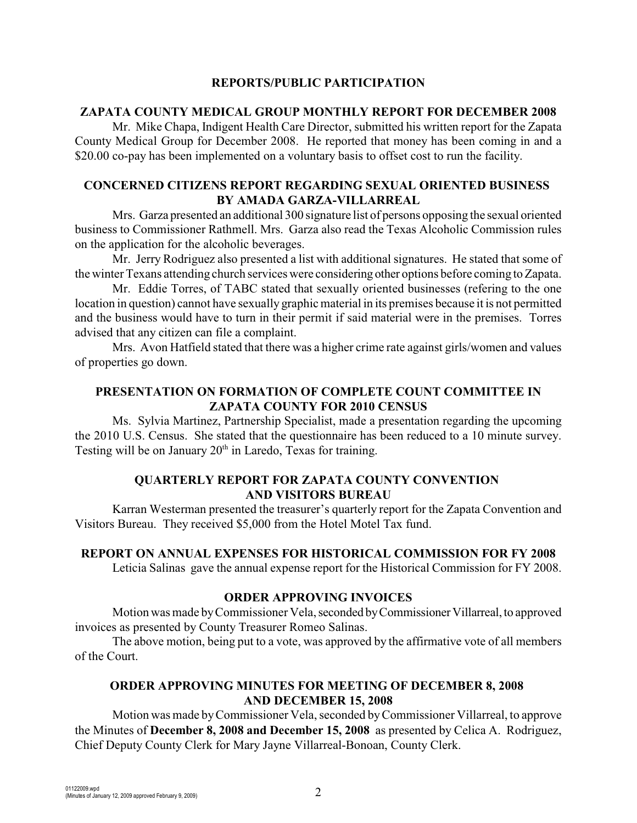## **REPORTS/PUBLIC PARTICIPATION**

#### **ZAPATA COUNTY MEDICAL GROUP MONTHLY REPORT FOR DECEMBER 2008**

Mr. Mike Chapa, Indigent Health Care Director, submitted his written report for the Zapata County Medical Group for December 2008. He reported that money has been coming in and a \$20.00 co-pay has been implemented on a voluntary basis to offset cost to run the facility.

## **CONCERNED CITIZENS REPORT REGARDING SEXUAL ORIENTED BUSINESS BY AMADA GARZA-VILLARREAL**

Mrs. Garza presented an additional 300 signature list of persons opposing the sexual oriented business to Commissioner Rathmell. Mrs. Garza also read the Texas Alcoholic Commission rules on the application for the alcoholic beverages.

Mr. Jerry Rodriguez also presented a list with additional signatures. He stated that some of the winter Texans attending church services were considering other options before coming to Zapata.

Mr. Eddie Torres, of TABC stated that sexually oriented businesses (refering to the one location in question) cannot have sexually graphic material in its premises because it is not permitted and the business would have to turn in their permit if said material were in the premises. Torres advised that any citizen can file a complaint.

Mrs. Avon Hatfield stated that there was a higher crime rate against girls/women and values of properties go down.

# **PRESENTATION ON FORMATION OF COMPLETE COUNT COMMITTEE IN ZAPATA COUNTY FOR 2010 CENSUS**

Ms. Sylvia Martinez, Partnership Specialist, made a presentation regarding the upcoming the 2010 U.S. Census. She stated that the questionnaire has been reduced to a 10 minute survey. Testing will be on January  $20<sup>th</sup>$  in Laredo, Texas for training.

## **QUARTERLY REPORT FOR ZAPATA COUNTY CONVENTION AND VISITORS BUREAU**

Karran Westerman presented the treasurer's quarterly report for the Zapata Convention and Visitors Bureau. They received \$5,000 from the Hotel Motel Tax fund.

## **REPORT ON ANNUAL EXPENSES FOR HISTORICAL COMMISSION FOR FY 2008**

Leticia Salinas gave the annual expense report for the Historical Commission for FY 2008.

## **ORDER APPROVING INVOICES**

Motion was made by Commissioner Vela, seconded by Commissioner Villarreal, to approved invoices as presented by County Treasurer Romeo Salinas.

The above motion, being put to a vote, was approved by the affirmative vote of all members of the Court.

# **ORDER APPROVING MINUTES FOR MEETING OF DECEMBER 8, 2008 AND DECEMBER 15, 2008**

Motion was made by Commissioner Vela, seconded byCommissioner Villarreal, to approve the Minutes of **December 8, 2008 and December 15, 2008** as presented by Celica A. Rodriguez, Chief Deputy County Clerk for Mary Jayne Villarreal-Bonoan, County Clerk.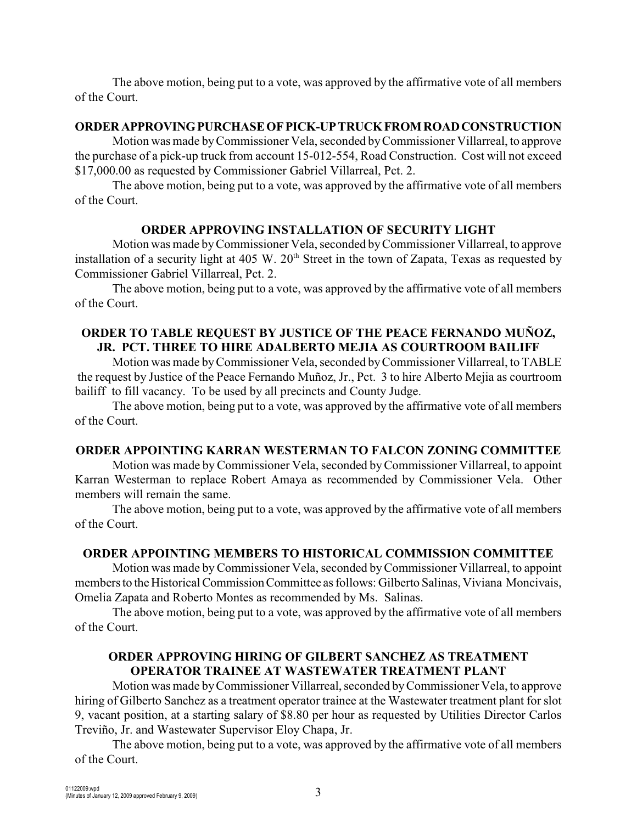The above motion, being put to a vote, was approved by the affirmative vote of all members of the Court.

#### **ORDER APPROVING PURCHASE OF PICK-UP TRUCK FROM ROAD CONSTRUCTION**

Motion was made byCommissioner Vela, seconded by Commissioner Villarreal, to approve the purchase of a pick-up truck from account 15-012-554, Road Construction. Cost will not exceed \$17,000.00 as requested by Commissioner Gabriel Villarreal, Pct. 2.

The above motion, being put to a vote, was approved by the affirmative vote of all members of the Court.

## **ORDER APPROVING INSTALLATION OF SECURITY LIGHT**

Motion was made byCommissioner Vela, seconded by Commissioner Villarreal, to approve installation of a security light at 405 W.  $20<sup>th</sup>$  Street in the town of Zapata, Texas as requested by Commissioner Gabriel Villarreal, Pct. 2.

The above motion, being put to a vote, was approved by the affirmative vote of all members of the Court.

# **ORDER TO TABLE REQUEST BY JUSTICE OF THE PEACE FERNANDO MUÑOZ, JR. PCT. THREE TO HIRE ADALBERTO MEJIA AS COURTROOM BAILIFF**

Motion was made by Commissioner Vela, seconded by Commissioner Villarreal, to TABLE the request by Justice of the Peace Fernando Muñoz, Jr., Pct. 3 to hire Alberto Mejia as courtroom bailiff to fill vacancy. To be used by all precincts and County Judge.

The above motion, being put to a vote, was approved by the affirmative vote of all members of the Court.

## **ORDER APPOINTING KARRAN WESTERMAN TO FALCON ZONING COMMITTEE**

Motion was made byCommissioner Vela, seconded by Commissioner Villarreal, to appoint Karran Westerman to replace Robert Amaya as recommended by Commissioner Vela. Other members will remain the same.

The above motion, being put to a vote, was approved by the affirmative vote of all members of the Court.

# **ORDER APPOINTING MEMBERS TO HISTORICAL COMMISSION COMMITTEE**

Motion was made byCommissioner Vela, seconded by Commissioner Villarreal, to appoint members to the Historical Commission Committee as follows: Gilberto Salinas, Viviana Moncivais, Omelia Zapata and Roberto Montes as recommended by Ms. Salinas.

The above motion, being put to a vote, was approved by the affirmative vote of all members of the Court.

# **ORDER APPROVING HIRING OF GILBERT SANCHEZ AS TREATMENT OPERATOR TRAINEE AT WASTEWATER TREATMENT PLANT**

Motion was made by Commissioner Villarreal, seconded byCommissioner Vela, to approve hiring of Gilberto Sanchez as a treatment operator trainee at the Wastewater treatment plant for slot 9, vacant position, at a starting salary of \$8.80 per hour as requested by Utilities Director Carlos Treviño, Jr. and Wastewater Supervisor Eloy Chapa, Jr.

The above motion, being put to a vote, was approved by the affirmative vote of all members of the Court.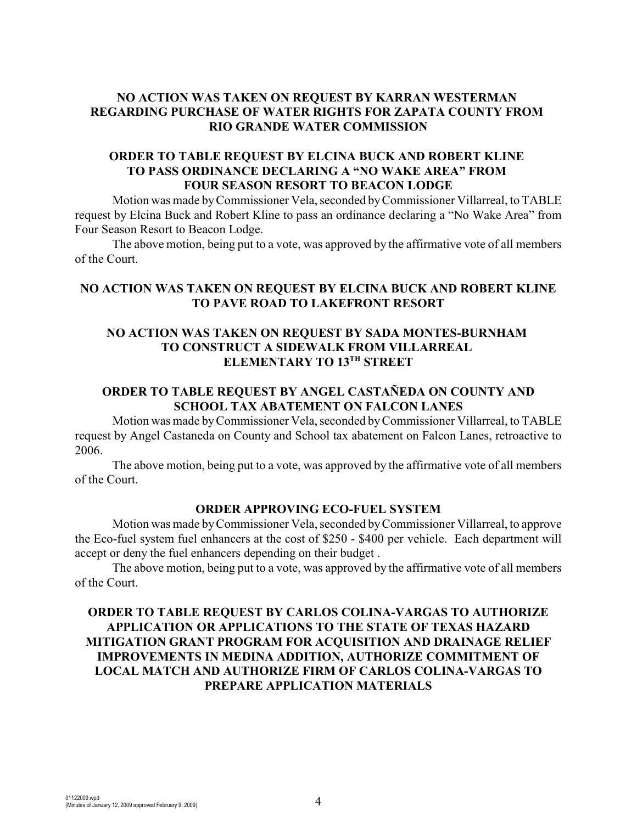# **NO ACTION WAS TAKEN ON REQUEST BY KARRAN WESTERMAN REGARDING PURCHASE OF WATER RIGHTS FOR ZAPATA COUNTY FROM RIO GRANDE WATER COMMISSION**

## **ORDER TO TABLE REQUEST BY ELCINA BUCK AND ROBERT KLINE TO PASS ORDINANCE DECLARING A "NO WAKE AREA" FROM FOUR SEASON RESORT TO BEACON LODGE**

Motion was made by Commissioner Vela, seconded by Commissioner Villarreal, to TABLE request by Elcina Buck and Robert Kline to pass an ordinance declaring a "No Wake Area" from Four Season Resort to Beacon Lodge.

The above motion, being put to a vote, was approved by the affirmative vote of all members of the Court.

# **NO ACTION WAS TAKEN ON REQUEST BY ELCINA BUCK AND ROBERT KLINE TO PAVE ROAD TO LAKEFRONT RESORT**

## **NO ACTION WAS TAKEN ON REQUEST BY SADA MONTES-BURNHAM TO CONSTRUCT A SIDEWALK FROM VILLARREAL ELEMENTARY TO 13TH STREET**

# **ORDER TO TABLE REQUEST BY ANGEL CASTAÑEDA ON COUNTY AND SCHOOL TAX ABATEMENT ON FALCON LANES**

Motion was made by Commissioner Vela, seconded by Commissioner Villarreal, to TABLE request by Angel Castaneda on County and School tax abatement on Falcon Lanes, retroactive to 2006.

The above motion, being put to a vote, was approved by the affirmative vote of all members of the Court.

## **ORDER APPROVING ECO-FUEL SYSTEM**

Motion was made by Commissioner Vela, seconded byCommissioner Villarreal, to approve the Eco-fuel system fuel enhancers at the cost of \$250 - \$400 per vehicle. Each department will accept or deny the fuel enhancers depending on their budget .

The above motion, being put to a vote, was approved by the affirmative vote of all members of the Court.

# **ORDER TO TABLE REQUEST BY CARLOS COLINA-VARGAS TO AUTHORIZE APPLICATION OR APPLICATIONS TO THE STATE OF TEXAS HAZARD MITIGATION GRANT PROGRAM FOR ACQUISITION AND DRAINAGE RELIEF IMPROVEMENTS IN MEDINA ADDITION, AUTHORIZE COMMITMENT OF LOCAL MATCH AND AUTHORIZE FIRM OF CARLOS COLINA-VARGAS TO PREPARE APPLICATION MATERIALS**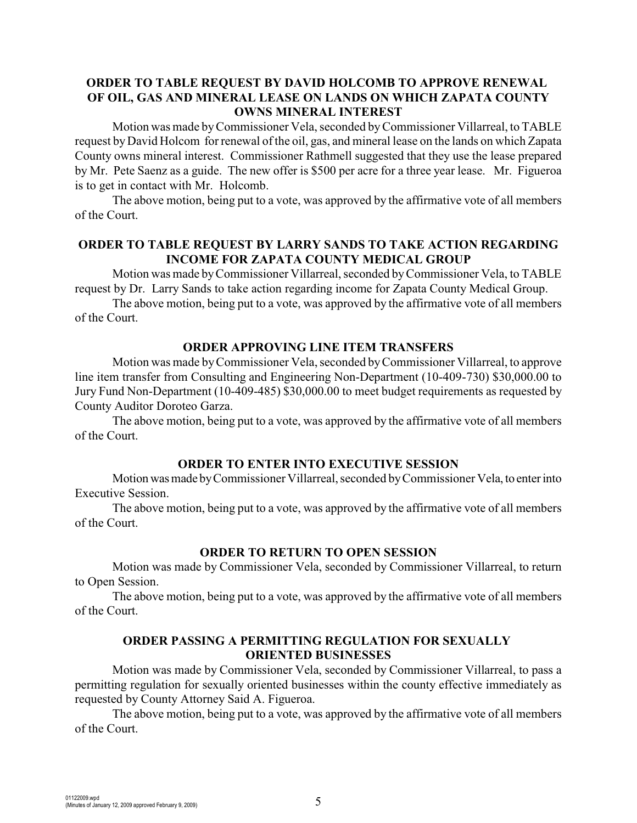# **ORDER TO TABLE REQUEST BY DAVID HOLCOMB TO APPROVE RENEWAL OF OIL, GAS AND MINERAL LEASE ON LANDS ON WHICH ZAPATA COUNTY OWNS MINERAL INTEREST**

Motion was made by Commissioner Vela, seconded by Commissioner Villarreal, to TABLE request by David Holcom for renewal of the oil, gas, and mineral lease on the lands on which Zapata County owns mineral interest. Commissioner Rathmell suggested that they use the lease prepared by Mr. Pete Saenz as a guide. The new offer is \$500 per acre for a three year lease. Mr. Figueroa is to get in contact with Mr. Holcomb.

The above motion, being put to a vote, was approved by the affirmative vote of all members of the Court.

## **ORDER TO TABLE REQUEST BY LARRY SANDS TO TAKE ACTION REGARDING INCOME FOR ZAPATA COUNTY MEDICAL GROUP**

Motion was made byCommissioner Villarreal, seconded by Commissioner Vela, to TABLE request by Dr. Larry Sands to take action regarding income for Zapata County Medical Group.

The above motion, being put to a vote, was approved by the affirmative vote of all members of the Court.

#### **ORDER APPROVING LINE ITEM TRANSFERS**

Motion was made by Commissioner Vela, seconded byCommissioner Villarreal, to approve line item transfer from Consulting and Engineering Non-Department (10-409-730) \$30,000.00 to Jury Fund Non-Department (10-409-485) \$30,000.00 to meet budget requirements as requested by County Auditor Doroteo Garza.

The above motion, being put to a vote, was approved by the affirmative vote of all members of the Court.

#### **ORDER TO ENTER INTO EXECUTIVE SESSION**

Motion was made by Commissioner Villarreal, seconded by Commissioner Vela, to enter into Executive Session.

The above motion, being put to a vote, was approved by the affirmative vote of all members of the Court.

#### **ORDER TO RETURN TO OPEN SESSION**

Motion was made by Commissioner Vela, seconded by Commissioner Villarreal, to return to Open Session.

The above motion, being put to a vote, was approved by the affirmative vote of all members of the Court.

## **ORDER PASSING A PERMITTING REGULATION FOR SEXUALLY ORIENTED BUSINESSES**

Motion was made by Commissioner Vela, seconded by Commissioner Villarreal, to pass a permitting regulation for sexually oriented businesses within the county effective immediately as requested by County Attorney Said A. Figueroa.

The above motion, being put to a vote, was approved by the affirmative vote of all members of the Court.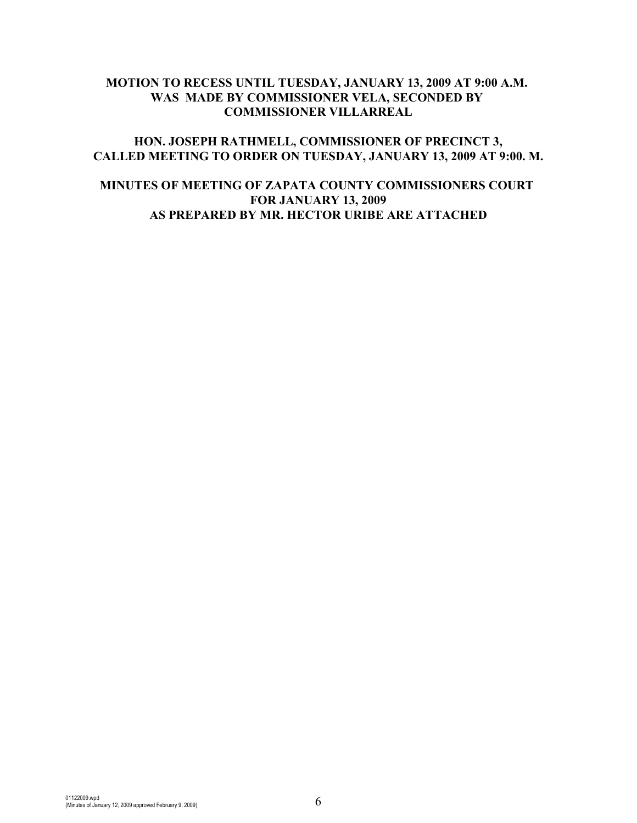# **MOTION TO RECESS UNTIL TUESDAY, JANUARY 13, 2009 AT 9:00 A.M. WAS MADE BY COMMISSIONER VELA, SECONDED BY COMMISSIONER VILLARREAL**

## **HON. JOSEPH RATHMELL, COMMISSIONER OF PRECINCT 3, CALLED MEETING TO ORDER ON TUESDAY, JANUARY 13, 2009 AT 9:00. M.**

# **MINUTES OF MEETING OF ZAPATA COUNTY COMMISSIONERS COURT FOR JANUARY 13, 2009 AS PREPARED BY MR. HECTOR URIBE ARE ATTACHED**